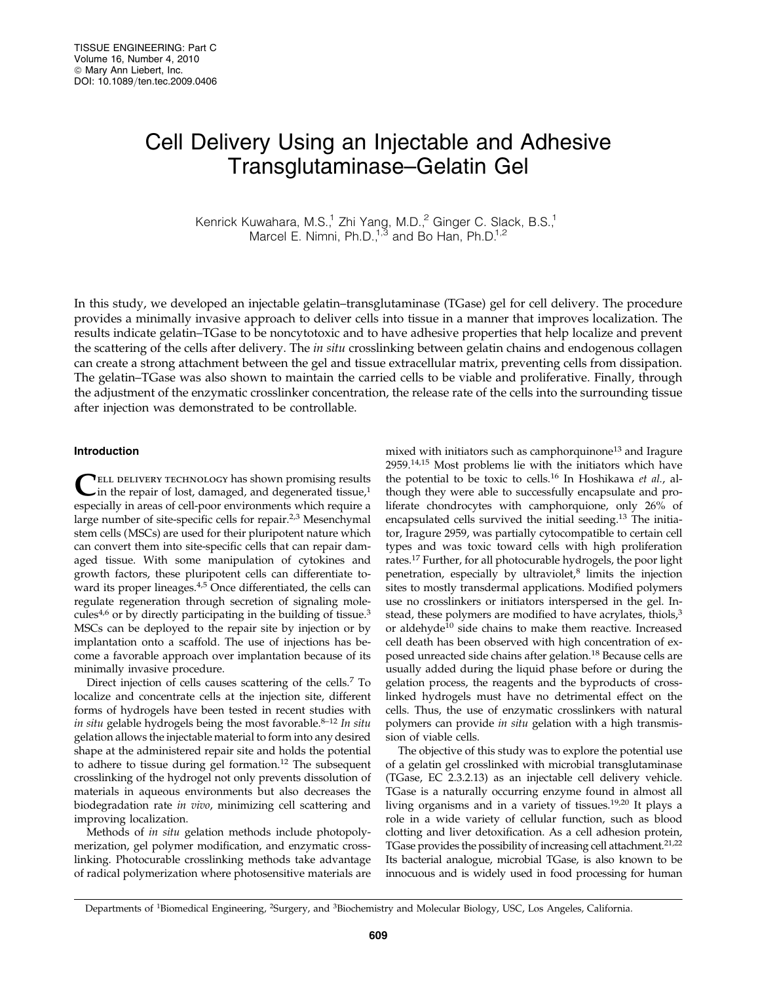# Cell Delivery Using an Injectable and Adhesive Transglutaminase–Gelatin Gel

Kenrick Kuwahara, M.S.<sup>1</sup> Zhi Yang, M.D.,<sup>2</sup> Ginger C. Slack, B.S.,<sup>1</sup> Marcel E. Nimni, Ph.D., $1.3$  and Bo Han, Ph.D. $1.2$ 

In this study, we developed an injectable gelatin–transglutaminase (TGase) gel for cell delivery. The procedure provides a minimally invasive approach to deliver cells into tissue in a manner that improves localization. The results indicate gelatin–TGase to be noncytotoxic and to have adhesive properties that help localize and prevent the scattering of the cells after delivery. The *in situ* crosslinking between gelatin chains and endogenous collagen can create a strong attachment between the gel and tissue extracellular matrix, preventing cells from dissipation. The gelatin–TGase was also shown to maintain the carried cells to be viable and proliferative. Finally, through the adjustment of the enzymatic crosslinker concentration, the release rate of the cells into the surrounding tissue after injection was demonstrated to be controllable.

# Introduction

PELL DELIVERY TECHNOLOGY has shown promising results in the repair of lost, damaged, and degenerated tissue, $1$ especially in areas of cell-poor environments which require a large number of site-specific cells for repair.<sup>2,3</sup> Mesenchymal stem cells (MSCs) are used for their pluripotent nature which can convert them into site-specific cells that can repair damaged tissue. With some manipulation of cytokines and growth factors, these pluripotent cells can differentiate toward its proper lineages.<sup>4,5</sup> Once differentiated, the cells can regulate regeneration through secretion of signaling molecules<sup>4,6</sup> or by directly participating in the building of tissue.<sup>3</sup> MSCs can be deployed to the repair site by injection or by implantation onto a scaffold. The use of injections has become a favorable approach over implantation because of its minimally invasive procedure.

Direct injection of cells causes scattering of the cells.<sup>7</sup> To localize and concentrate cells at the injection site, different forms of hydrogels have been tested in recent studies with in situ gelable hydrogels being the most favorable.<sup>8–12</sup> In situ gelation allows the injectable material to form into any desired shape at the administered repair site and holds the potential to adhere to tissue during gel formation.<sup>12</sup> The subsequent crosslinking of the hydrogel not only prevents dissolution of materials in aqueous environments but also decreases the biodegradation rate in vivo, minimizing cell scattering and improving localization.

Methods of in situ gelation methods include photopolymerization, gel polymer modification, and enzymatic crosslinking. Photocurable crosslinking methods take advantage of radical polymerization where photosensitive materials are mixed with initiators such as camphorquinone<sup>13</sup> and Iragure 2959.14,15 Most problems lie with the initiators which have the potential to be toxic to cells.<sup>16</sup> In Hoshikawa et al., although they were able to successfully encapsulate and proliferate chondrocytes with camphorquione, only 26% of encapsulated cells survived the initial seeding.13 The initiator, Iragure 2959, was partially cytocompatible to certain cell types and was toxic toward cells with high proliferation rates.17 Further, for all photocurable hydrogels, the poor light penetration, especially by ultraviolet, $8$  limits the injection sites to mostly transdermal applications. Modified polymers use no crosslinkers or initiators interspersed in the gel. Instead, these polymers are modified to have acrylates, thiols, $3$ or aldehyde $10$  side chains to make them reactive. Increased cell death has been observed with high concentration of exposed unreacted side chains after gelation.<sup>18</sup> Because cells are usually added during the liquid phase before or during the gelation process, the reagents and the byproducts of crosslinked hydrogels must have no detrimental effect on the cells. Thus, the use of enzymatic crosslinkers with natural polymers can provide in situ gelation with a high transmission of viable cells.

The objective of this study was to explore the potential use of a gelatin gel crosslinked with microbial transglutaminase (TGase, EC 2.3.2.13) as an injectable cell delivery vehicle. TGase is a naturally occurring enzyme found in almost all living organisms and in a variety of tissues.19,20 It plays a role in a wide variety of cellular function, such as blood clotting and liver detoxification. As a cell adhesion protein, TGase provides the possibility of increasing cell attachment.<sup>21,22</sup> Its bacterial analogue, microbial TGase, is also known to be innocuous and is widely used in food processing for human

Departments of <sup>1</sup>Biomedical Engineering, <sup>2</sup>Surgery, and <sup>3</sup>Biochemistry and Molecular Biology, USC, Los Angeles, California.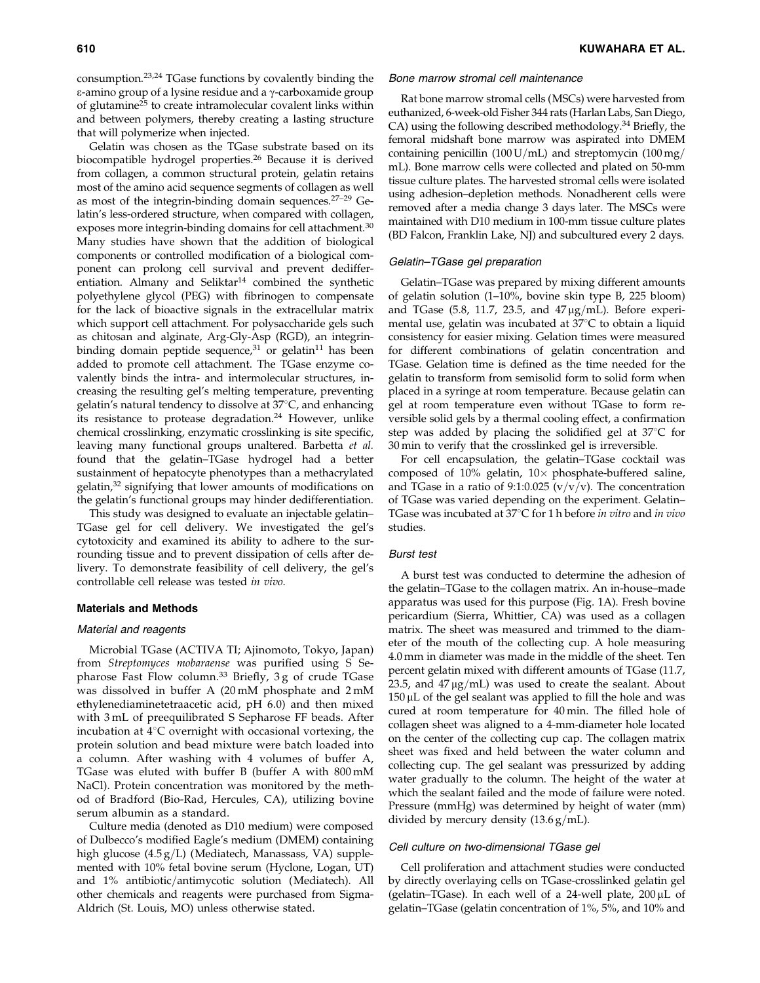consumption.23,24 TGase functions by covalently binding the  $\varepsilon$ -amino group of a lysine residue and a  $\gamma$ -carboxamide group of glutamine<sup>25</sup> to create intramolecular covalent links within and between polymers, thereby creating a lasting structure that will polymerize when injected.

Gelatin was chosen as the TGase substrate based on its biocompatible hydrogel properties.<sup>26</sup> Because it is derived from collagen, a common structural protein, gelatin retains most of the amino acid sequence segments of collagen as well as most of the integrin-binding domain sequences.27–29 Gelatin's less-ordered structure, when compared with collagen, exposes more integrin-binding domains for cell attachment.<sup>30</sup> Many studies have shown that the addition of biological components or controlled modification of a biological component can prolong cell survival and prevent dedifferentiation. Almany and Seliktar<sup>14</sup> combined the synthetic polyethylene glycol (PEG) with fibrinogen to compensate for the lack of bioactive signals in the extracellular matrix which support cell attachment. For polysaccharide gels such as chitosan and alginate, Arg-Gly-Asp (RGD), an integrinbinding domain peptide sequence, $31$  or gelatin $11$  has been added to promote cell attachment. The TGase enzyme covalently binds the intra- and intermolecular structures, increasing the resulting gel's melting temperature, preventing gelatin's natural tendency to dissolve at  $37^{\circ}$ C, and enhancing its resistance to protease degradation.<sup>24</sup> However, unlike chemical crosslinking, enzymatic crosslinking is site specific, leaving many functional groups unaltered. Barbetta et al. found that the gelatin–TGase hydrogel had a better sustainment of hepatocyte phenotypes than a methacrylated gelatin,<sup>32</sup> signifying that lower amounts of modifications on the gelatin's functional groups may hinder dedifferentiation.

This study was designed to evaluate an injectable gelatin– TGase gel for cell delivery. We investigated the gel's cytotoxicity and examined its ability to adhere to the surrounding tissue and to prevent dissipation of cells after delivery. To demonstrate feasibility of cell delivery, the gel's controllable cell release was tested in vivo.

## Materials and Methods

#### Material and reagents

Microbial TGase (ACTIVA TI; Ajinomoto, Tokyo, Japan) from Streptomyces mobaraense was purified using S Sepharose Fast Flow column.<sup>33</sup> Briefly, 3g of crude TGase was dissolved in buffer A (20 mM phosphate and 2 mM ethylenediaminetetraacetic acid, pH 6.0) and then mixed with 3 mL of preequilibrated S Sepharose FF beads. After incubation at  $4^{\circ}$ C overnight with occasional vortexing, the protein solution and bead mixture were batch loaded into a column. After washing with 4 volumes of buffer A, TGase was eluted with buffer B (buffer A with 800 mM NaCl). Protein concentration was monitored by the method of Bradford (Bio-Rad, Hercules, CA), utilizing bovine serum albumin as a standard.

Culture media (denoted as D10 medium) were composed of Dulbecco's modified Eagle's medium (DMEM) containing high glucose  $(4.5 g/L)$  (Mediatech, Manassass, VA) supplemented with 10% fetal bovine serum (Hyclone, Logan, UT) and 1% antibiotic/antimycotic solution (Mediatech). All other chemicals and reagents were purchased from Sigma-Aldrich (St. Louis, MO) unless otherwise stated.

## Bone marrow stromal cell maintenance

Rat bone marrow stromal cells (MSCs) were harvested from euthanized, 6-week-old Fisher 344 rats (Harlan Labs, San Diego, CA) using the following described methodology.<sup>34</sup> Briefly, the femoral midshaft bone marrow was aspirated into DMEM containing penicillin (100 U/mL) and streptomycin (100 mg/ mL). Bone marrow cells were collected and plated on 50-mm tissue culture plates. The harvested stromal cells were isolated using adhesion–depletion methods. Nonadherent cells were removed after a media change 3 days later. The MSCs were maintained with D10 medium in 100-mm tissue culture plates (BD Falcon, Franklin Lake, NJ) and subcultured every 2 days.

#### Gelatin–TGase gel preparation

Gelatin–TGase was prepared by mixing different amounts of gelatin solution (1–10%, bovine skin type B, 225 bloom) and TGase  $(5.8, 11.7, 23.5,$  and  $47 \mu g/mL)$ . Before experimental use, gelatin was incubated at  $37^{\circ}$ C to obtain a liquid consistency for easier mixing. Gelation times were measured for different combinations of gelatin concentration and TGase. Gelation time is defined as the time needed for the gelatin to transform from semisolid form to solid form when placed in a syringe at room temperature. Because gelatin can gel at room temperature even without TGase to form reversible solid gels by a thermal cooling effect, a confirmation step was added by placing the solidified gel at  $37^{\circ}$ C for 30 min to verify that the crosslinked gel is irreversible.

For cell encapsulation, the gelatin–TGase cocktail was composed of 10% gelatin,  $10 \times$  phosphate-buffered saline, and TGase in a ratio of 9:1:0.025 ( $v/v/v$ ). The concentration of TGase was varied depending on the experiment. Gelatin– TGase was incubated at  $37^{\circ}$ C for 1 h before in vitro and in vivo studies.

## Burst test

A burst test was conducted to determine the adhesion of the gelatin–TGase to the collagen matrix. An in-house–made apparatus was used for this purpose (Fig. 1A). Fresh bovine pericardium (Sierra, Whittier, CA) was used as a collagen matrix. The sheet was measured and trimmed to the diameter of the mouth of the collecting cup. A hole measuring 4.0 mm in diameter was made in the middle of the sheet. Ten percent gelatin mixed with different amounts of TGase (11.7, 23.5, and  $47 \mu g/mL$  was used to create the sealant. About  $150 \mu$ L of the gel sealant was applied to fill the hole and was cured at room temperature for 40 min. The filled hole of collagen sheet was aligned to a 4-mm-diameter hole located on the center of the collecting cup cap. The collagen matrix sheet was fixed and held between the water column and collecting cup. The gel sealant was pressurized by adding water gradually to the column. The height of the water at which the sealant failed and the mode of failure were noted. Pressure (mmHg) was determined by height of water (mm) divided by mercury density  $(13.6 \text{ g/mL})$ .

### Cell culture on two-dimensional TGase gel

Cell proliferation and attachment studies were conducted by directly overlaying cells on TGase-crosslinked gelatin gel (gelatin–TGase). In each well of a 24-well plate,  $200 \mu L$  of gelatin–TGase (gelatin concentration of 1%, 5%, and 10% and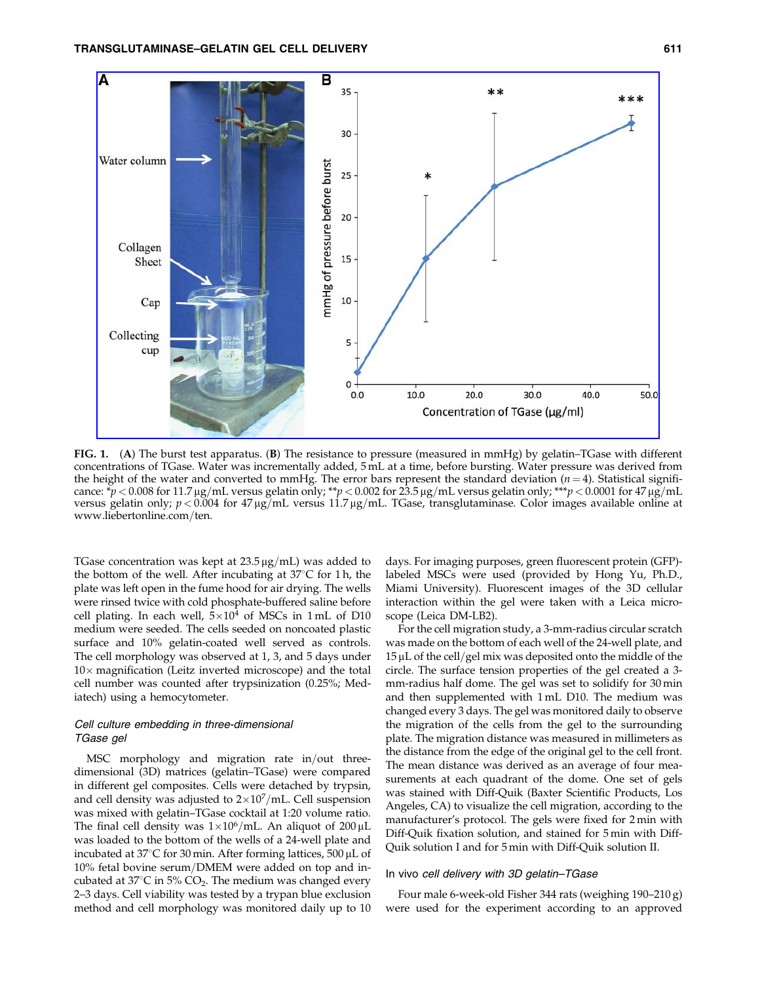

FIG. 1. (A) The burst test apparatus. (B) The resistance to pressure (measured in mmHg) by gelatin–TGase with different concentrations of TGase. Water was incrementally added, 5 mL at a time, before bursting. Water pressure was derived from the height of the water and converted to mmHg. The error bars represent the standard deviation  $(n = 4)$ . Statistical significance:  $*p$  < 0.008 for 11.7 µg/mL versus gelatin only; \*\*p < 0.002 for 23.5 µg/mL versus gelatin only; \*\*\*p < 0.0001 for 47 µg/mL versus gelatin only;  $p < 0.004$  for 47  $\mu$ g/mL versus 11.7  $\mu$ g/mL. TGase, transglutaminase. Color images available online at www.liebertonline.com/ten.

TGase concentration was kept at  $23.5 \mu g/mL$ ) was added to the bottom of the well. After incubating at  $37^{\circ}$ C for 1 h, the plate was left open in the fume hood for air drying. The wells were rinsed twice with cold phosphate-buffered saline before cell plating. In each well,  $5\times10^4$  of MSCs in 1 mL of D10 medium were seeded. The cells seeded on noncoated plastic surface and 10% gelatin-coated well served as controls. The cell morphology was observed at 1, 3, and 5 days under  $10\times$  magnification (Leitz inverted microscope) and the total cell number was counted after trypsinization (0.25%; Mediatech) using a hemocytometer.

# Cell culture embedding in three-dimensional TGase gel

MSC morphology and migration rate in/out threedimensional (3D) matrices (gelatin–TGase) were compared in different gel composites. Cells were detached by trypsin, and cell density was adjusted to  $2\times10^7$ /mL. Cell suspension was mixed with gelatin–TGase cocktail at 1:20 volume ratio. The final cell density was  $1 \times 10^6$ /mL. An aliquot of 200 µL was loaded to the bottom of the wells of a 24-well plate and incubated at 37 $\degree$ C for 30 min. After forming lattices, 500 µL of 10% fetal bovine serum/DMEM were added on top and incubated at 37 $\degree$ C in 5% CO<sub>2</sub>. The medium was changed every 2–3 days. Cell viability was tested by a trypan blue exclusion method and cell morphology was monitored daily up to 10 days. For imaging purposes, green fluorescent protein (GFP) labeled MSCs were used (provided by Hong Yu, Ph.D., Miami University). Fluorescent images of the 3D cellular interaction within the gel were taken with a Leica microscope (Leica DM-LB2).

For the cell migration study, a 3-mm-radius circular scratch was made on the bottom of each well of the 24-well plate, and  $15 \mu$ L of the cell/gel mix was deposited onto the middle of the circle. The surface tension properties of the gel created a 3 mm-radius half dome. The gel was set to solidify for 30 min and then supplemented with 1 mL D10. The medium was changed every 3 days. The gel was monitored daily to observe the migration of the cells from the gel to the surrounding plate. The migration distance was measured in millimeters as the distance from the edge of the original gel to the cell front. The mean distance was derived as an average of four measurements at each quadrant of the dome. One set of gels was stained with Diff-Quik (Baxter Scientific Products, Los Angeles, CA) to visualize the cell migration, according to the manufacturer's protocol. The gels were fixed for 2 min with Diff-Quik fixation solution, and stained for 5 min with Diff-Quik solution I and for 5 min with Diff-Quik solution II.

#### In vivo cell delivery with 3D gelatin–TGase

Four male 6-week-old Fisher 344 rats (weighing 190–210 g) were used for the experiment according to an approved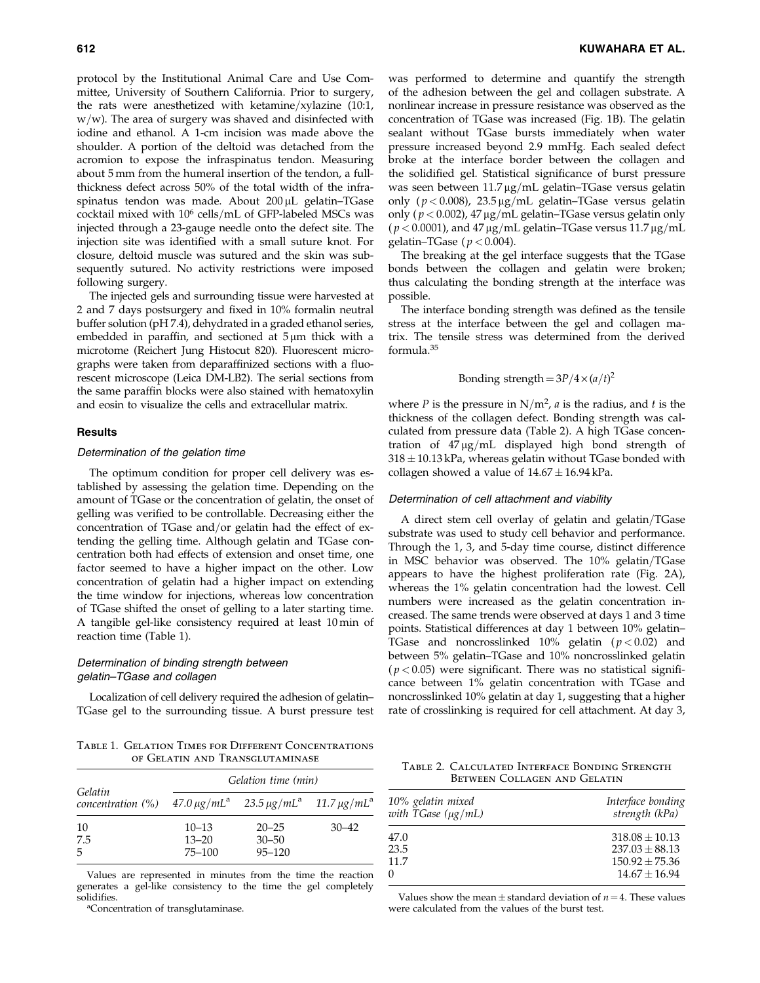protocol by the Institutional Animal Care and Use Committee, University of Southern California. Prior to surgery, the rats were anesthetized with ketamine/xylazine  $(10:1, 1)$  $w/w$ ). The area of surgery was shaved and disinfected with iodine and ethanol. A 1-cm incision was made above the shoulder. A portion of the deltoid was detached from the acromion to expose the infraspinatus tendon. Measuring about 5 mm from the humeral insertion of the tendon, a fullthickness defect across 50% of the total width of the infraspinatus tendon was made. About 200 µL gelatin-TGase cocktail mixed with  $10^6$  cells/mL of GFP-labeled MSCs was injected through a 23-gauge needle onto the defect site. The injection site was identified with a small suture knot. For closure, deltoid muscle was sutured and the skin was subsequently sutured. No activity restrictions were imposed following surgery.

The injected gels and surrounding tissue were harvested at 2 and 7 days postsurgery and fixed in 10% formalin neutral buffer solution (pH 7.4), dehydrated in a graded ethanol series, embedded in paraffin, and sectioned at  $5 \mu m$  thick with a microtome (Reichert Jung Histocut 820). Fluorescent micrographs were taken from deparaffinized sections with a fluorescent microscope (Leica DM-LB2). The serial sections from the same paraffin blocks were also stained with hematoxylin and eosin to visualize the cells and extracellular matrix.

## Results

#### Determination of the gelation time

The optimum condition for proper cell delivery was established by assessing the gelation time. Depending on the amount of TGase or the concentration of gelatin, the onset of gelling was verified to be controllable. Decreasing either the concentration of TGase and/or gelatin had the effect of extending the gelling time. Although gelatin and TGase concentration both had effects of extension and onset time, one factor seemed to have a higher impact on the other. Low concentration of gelatin had a higher impact on extending the time window for injections, whereas low concentration of TGase shifted the onset of gelling to a later starting time. A tangible gel-like consistency required at least 10 min of reaction time (Table 1).

# Determination of binding strength between gelatin–TGase and collagen

Localization of cell delivery required the adhesion of gelatin– TGase gel to the surrounding tissue. A burst pressure test

Table 1. Gelation Times for Different Concentrations of Gelatin and Transglutaminase

| Gelatin<br>concentration $(\%)$ | Gelation time (min) |                                                                                        |           |
|---------------------------------|---------------------|----------------------------------------------------------------------------------------|-----------|
|                                 |                     | $47.0 \mu$ g/mL <sup>a</sup> 23.5 $\mu$ g/mL <sup>a</sup> 11.7 $\mu$ g/mL <sup>a</sup> |           |
| 10                              | $10 - 13$           | $20 - 25$                                                                              | $30 - 42$ |
| 7.5                             | $13 - 20$           | $30 - 50$                                                                              |           |
| 5                               | $75 - 100$          | $95 - 120$                                                                             |           |

Values are represented in minutes from the time the reaction generates a gel-like consistency to the time the gel completely solidifies.<br><sup>a</sup>Concentration of transglutaminase.

was performed to determine and quantify the strength of the adhesion between the gel and collagen substrate. A nonlinear increase in pressure resistance was observed as the concentration of TGase was increased (Fig. 1B). The gelatin sealant without TGase bursts immediately when water pressure increased beyond 2.9 mmHg. Each sealed defect broke at the interface border between the collagen and the solidified gel. Statistical significance of burst pressure was seen between  $11.7 \,\mathrm{\upmu g/mL}$  gelatin–TGase versus gelatin only ( $p < 0.008$ ), 23.5 µg/mL gelatin–TGase versus gelatin only ( $p < 0.002$ ), 47 µg/mL gelatin–TGase versus gelatin only  $(p < 0.0001)$ , and 47 µg/mL gelatin–TGase versus 11.7 µg/mL gelatin–TGase ( $p < 0.004$ ).

The breaking at the gel interface suggests that the TGase bonds between the collagen and gelatin were broken; thus calculating the bonding strength at the interface was possible.

The interface bonding strength was defined as the tensile stress at the interface between the gel and collagen matrix. The tensile stress was determined from the derived formula.<sup>35</sup>

# Bonding strength  $=3P/4 \times (a/t)^2$

where P is the pressure in  $N/m^2$ , a is the radius, and t is the thickness of the collagen defect. Bonding strength was calculated from pressure data (Table 2). A high TGase concentration of  $47 \mu g/mL$  displayed high bond strength of  $318 \pm 10.13$  kPa, whereas gelatin without TGase bonded with collagen showed a value of  $14.67 \pm 16.94$  kPa.

#### Determination of cell attachment and viability

A direct stem cell overlay of gelatin and gelatin/TGase substrate was used to study cell behavior and performance. Through the 1, 3, and 5-day time course, distinct difference in MSC behavior was observed. The 10% gelatin/TGase appears to have the highest proliferation rate (Fig. 2A), whereas the 1% gelatin concentration had the lowest. Cell numbers were increased as the gelatin concentration increased. The same trends were observed at days 1 and 3 time points. Statistical differences at day 1 between 10% gelatin– TGase and noncrosslinked 10% gelatin ( $p < 0.02$ ) and between 5% gelatin–TGase and 10% noncrosslinked gelatin  $(p < 0.05)$  were significant. There was no statistical significance between 1% gelatin concentration with TGase and noncrosslinked 10% gelatin at day 1, suggesting that a higher rate of crosslinking is required for cell attachment. At day 3,

Table 2. Calculated Interface Bonding Strength Between Collagen and Gelatin

| 10% gelatin mixed<br>with $TGase (\mu g/mL)$ | Interface bonding<br>strength (kPa) |  |
|----------------------------------------------|-------------------------------------|--|
| 47.0                                         | $318.08 + 10.13$                    |  |
| 23.5                                         | $237.03 \pm 88.13$                  |  |
| 11.7                                         | $150.92 + 75.36$                    |  |
|                                              | $14.67 + 16.94$                     |  |

Values show the mean  $\pm$  standard deviation of  $n=4$ . These values were calculated from the values of the burst test.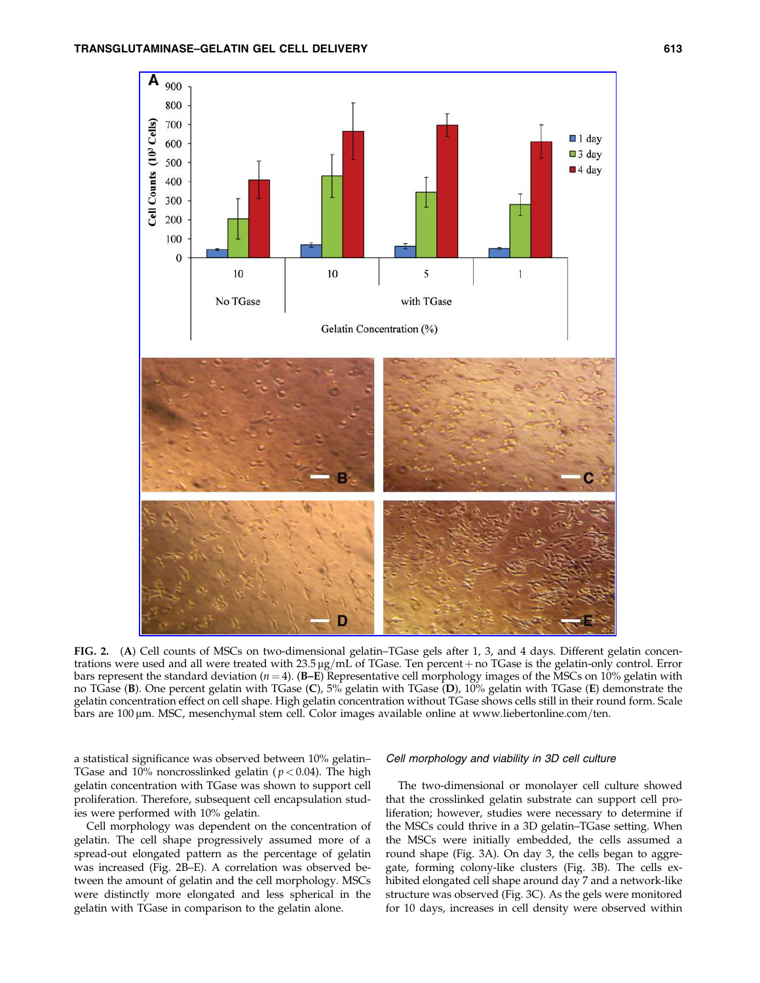

FIG. 2. (A) Cell counts of MSCs on two-dimensional gelatin–TGase gels after 1, 3, and 4 days. Different gelatin concentrations were used and all were treated with  $23.5 \mu g/mL$  of TGase. Ten percent + no TGase is the gelatin-only control. Error bars represent the standard deviation ( $n = 4$ ). (B–E) Representative cell morphology images of the MSCs on 10% gelatin with no TGase (B). One percent gelatin with TGase (C), 5% gelatin with TGase (D), 10% gelatin with TGase (E) demonstrate the gelatin concentration effect on cell shape. High gelatin concentration without TGase shows cells still in their round form. Scale bars are 100 μm. MSC, mesenchymal stem cell. Color images available online at www.liebertonline.com/ten.

a statistical significance was observed between 10% gelatin– TGase and 10% noncrosslinked gelatin ( $p < 0.04$ ). The high gelatin concentration with TGase was shown to support cell proliferation. Therefore, subsequent cell encapsulation studies were performed with 10% gelatin.

Cell morphology was dependent on the concentration of gelatin. The cell shape progressively assumed more of a spread-out elongated pattern as the percentage of gelatin was increased (Fig. 2B–E). A correlation was observed between the amount of gelatin and the cell morphology. MSCs were distinctly more elongated and less spherical in the gelatin with TGase in comparison to the gelatin alone.

# Cell morphology and viability in 3D cell culture

The two-dimensional or monolayer cell culture showed that the crosslinked gelatin substrate can support cell proliferation; however, studies were necessary to determine if the MSCs could thrive in a 3D gelatin–TGase setting. When the MSCs were initially embedded, the cells assumed a round shape (Fig. 3A). On day 3, the cells began to aggregate, forming colony-like clusters (Fig. 3B). The cells exhibited elongated cell shape around day 7 and a network-like structure was observed (Fig. 3C). As the gels were monitored for 10 days, increases in cell density were observed within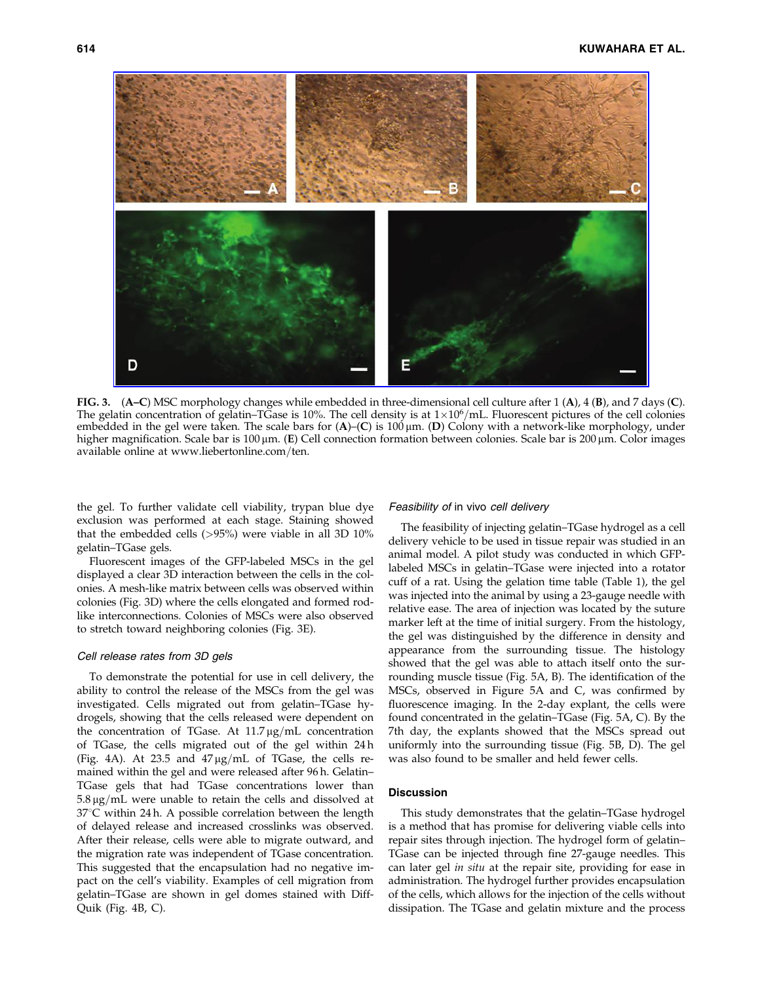

FIG. 3. (A–C) MSC morphology changes while embedded in three-dimensional cell culture after 1 (A), 4 (B), and 7 days (C). The gelatin concentration of gelatin–TGase is 10%. The cell density is at  $1\times10^6$ /mL. Fluorescent pictures of the cell colonies embedded in the gel were taken. The scale bars for  $(A)$ – $(C)$  is 100  $\mu$ m. (D) Colony with a network-like morphology, under higher magnification. Scale bar is 100  $\mu$ m. (E) Cell connection formation between colonies. Scale bar is 200  $\mu$ m. Color images available online at www.liebertonline.com/ten.

the gel. To further validate cell viability, trypan blue dye exclusion was performed at each stage. Staining showed that the embedded cells (>95%) were viable in all 3D 10% gelatin–TGase gels.

Fluorescent images of the GFP-labeled MSCs in the gel displayed a clear 3D interaction between the cells in the colonies. A mesh-like matrix between cells was observed within colonies (Fig. 3D) where the cells elongated and formed rodlike interconnections. Colonies of MSCs were also observed to stretch toward neighboring colonies (Fig. 3E).

# Cell release rates from 3D gels

To demonstrate the potential for use in cell delivery, the ability to control the release of the MSCs from the gel was investigated. Cells migrated out from gelatin–TGase hydrogels, showing that the cells released were dependent on the concentration of TGase. At  $11.7 \,\mu g/mL$  concentration of TGase, the cells migrated out of the gel within 24 h (Fig. 4A). At 23.5 and  $47 \mu g/mL$  of TGase, the cells remained within the gel and were released after 96 h. Gelatin– TGase gels that had TGase concentrations lower than  $5.8 \mu g/mL$  were unable to retain the cells and dissolved at  $37^{\circ}$ C within 24 h. A possible correlation between the length of delayed release and increased crosslinks was observed. After their release, cells were able to migrate outward, and the migration rate was independent of TGase concentration. This suggested that the encapsulation had no negative impact on the cell's viability. Examples of cell migration from gelatin–TGase are shown in gel domes stained with Diff-Quik (Fig. 4B, C).

## Feasibility of in vivo cell delivery

The feasibility of injecting gelatin–TGase hydrogel as a cell delivery vehicle to be used in tissue repair was studied in an animal model. A pilot study was conducted in which GFPlabeled MSCs in gelatin–TGase were injected into a rotator cuff of a rat. Using the gelation time table (Table 1), the gel was injected into the animal by using a 23-gauge needle with relative ease. The area of injection was located by the suture marker left at the time of initial surgery. From the histology, the gel was distinguished by the difference in density and appearance from the surrounding tissue. The histology showed that the gel was able to attach itself onto the surrounding muscle tissue (Fig. 5A, B). The identification of the MSCs, observed in Figure 5A and C, was confirmed by fluorescence imaging. In the 2-day explant, the cells were found concentrated in the gelatin–TGase (Fig. 5A, C). By the 7th day, the explants showed that the MSCs spread out uniformly into the surrounding tissue (Fig. 5B, D). The gel was also found to be smaller and held fewer cells.

# **Discussion**

This study demonstrates that the gelatin–TGase hydrogel is a method that has promise for delivering viable cells into repair sites through injection. The hydrogel form of gelatin– TGase can be injected through fine 27-gauge needles. This can later gel in situ at the repair site, providing for ease in administration. The hydrogel further provides encapsulation of the cells, which allows for the injection of the cells without dissipation. The TGase and gelatin mixture and the process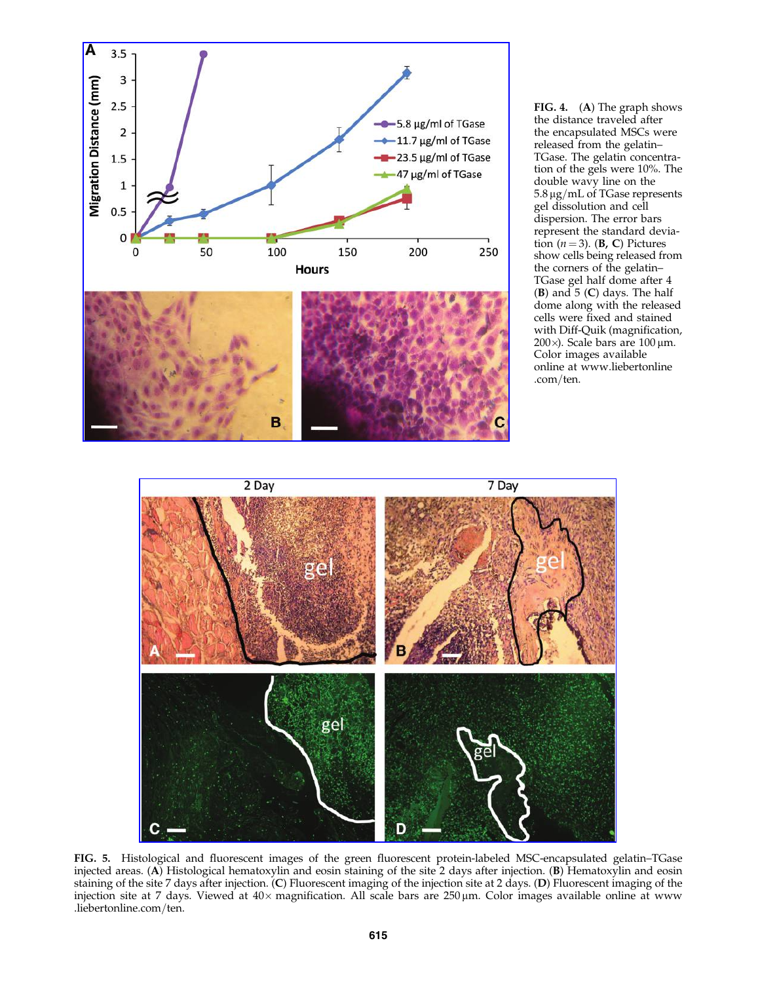

FIG. 4. (A) The graph shows the distance traveled after the encapsulated MSCs were released from the gelatin– TGase. The gelatin concentration of the gels were 10%. The double wavy line on the  $5.8 \,\mathrm{\upmu g/mL}$  of TGase represents gel dissolution and cell dispersion. The error bars represent the standard deviation  $(n = 3)$ . (**B**, **C**) Pictures show cells being released from the corners of the gelatin– TGase gel half dome after 4  $(B)$  and  $5$  (C) days. The half dome along with the released cells were fixed and stained with Diff-Quik (magnification, 200 $\times$ ). Scale bars are 100  $\mu$ m. Color images available online at www.liebertonline .com/ten.



FIG. 5. Histological and fluorescent images of the green fluorescent protein-labeled MSC-encapsulated gelatin–TGase injected areas. (A) Histological hematoxylin and eosin staining of the site 2 days after injection. (B) Hematoxylin and eosin staining of the site 7 days after injection. (C) Fluorescent imaging of the injection site at 2 days. (D) Fluorescent imaging of the injection site at 7 days. Viewed at  $40 \times$  magnification. All scale bars are  $250 \,\mu$ m. Color images available online at www .liebertonline.com/ten.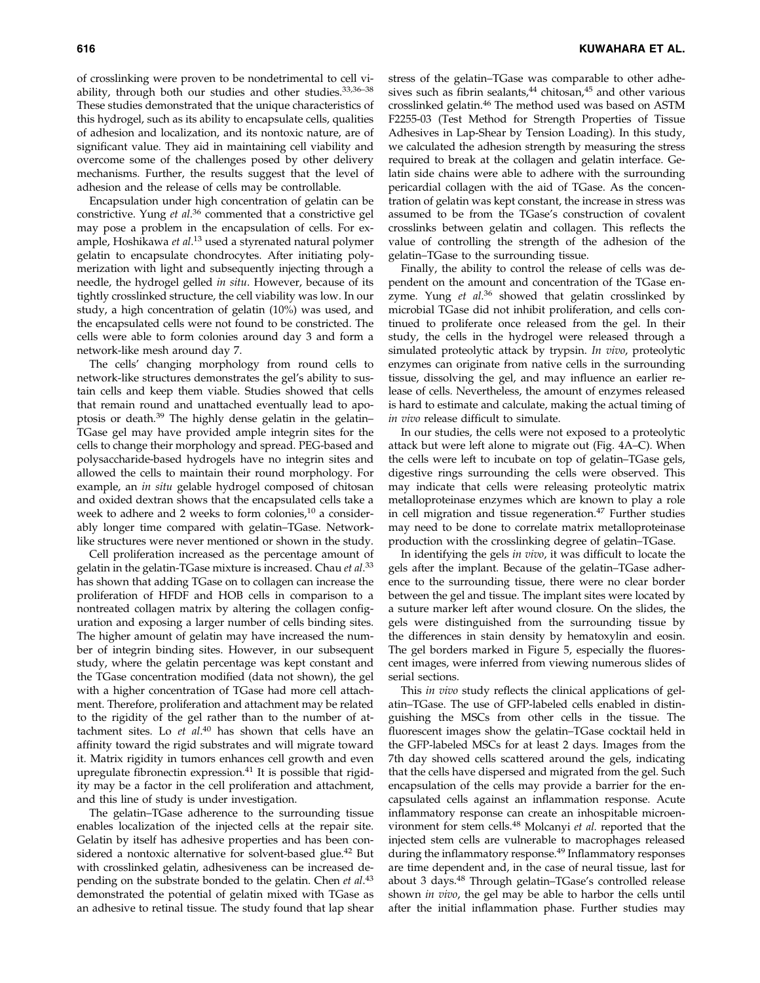of crosslinking were proven to be nondetrimental to cell viability, through both our studies and other studies.33,36–38 These studies demonstrated that the unique characteristics of this hydrogel, such as its ability to encapsulate cells, qualities of adhesion and localization, and its nontoxic nature, are of significant value. They aid in maintaining cell viability and overcome some of the challenges posed by other delivery mechanisms. Further, the results suggest that the level of adhesion and the release of cells may be controllable.

Encapsulation under high concentration of gelatin can be constrictive. Yung et al.<sup>36</sup> commented that a constrictive gel may pose a problem in the encapsulation of cells. For example, Hoshikawa *et al*.<sup>13</sup> used a styrenated natural polymer gelatin to encapsulate chondrocytes. After initiating polymerization with light and subsequently injecting through a needle, the hydrogel gelled in situ. However, because of its tightly crosslinked structure, the cell viability was low. In our study, a high concentration of gelatin (10%) was used, and the encapsulated cells were not found to be constricted. The cells were able to form colonies around day 3 and form a network-like mesh around day 7.

The cells' changing morphology from round cells to network-like structures demonstrates the gel's ability to sustain cells and keep them viable. Studies showed that cells that remain round and unattached eventually lead to apoptosis or death.<sup>39</sup> The highly dense gelatin in the gelatin– TGase gel may have provided ample integrin sites for the cells to change their morphology and spread. PEG-based and polysaccharide-based hydrogels have no integrin sites and allowed the cells to maintain their round morphology. For example, an in situ gelable hydrogel composed of chitosan and oxided dextran shows that the encapsulated cells take a week to adhere and 2 weeks to form colonies, $10$  a considerably longer time compared with gelatin–TGase. Networklike structures were never mentioned or shown in the study.

Cell proliferation increased as the percentage amount of gelatin in the gelatin-TGase mixture is increased. Chau et al.<sup>33</sup> has shown that adding TGase on to collagen can increase the proliferation of HFDF and HOB cells in comparison to a nontreated collagen matrix by altering the collagen configuration and exposing a larger number of cells binding sites. The higher amount of gelatin may have increased the number of integrin binding sites. However, in our subsequent study, where the gelatin percentage was kept constant and the TGase concentration modified (data not shown), the gel with a higher concentration of TGase had more cell attachment. Therefore, proliferation and attachment may be related to the rigidity of the gel rather than to the number of attachment sites. Lo et al.<sup>40</sup> has shown that cells have an affinity toward the rigid substrates and will migrate toward it. Matrix rigidity in tumors enhances cell growth and even upregulate fibronectin expression. $41$  It is possible that rigidity may be a factor in the cell proliferation and attachment, and this line of study is under investigation.

The gelatin–TGase adherence to the surrounding tissue enables localization of the injected cells at the repair site. Gelatin by itself has adhesive properties and has been considered a nontoxic alternative for solvent-based glue.<sup>42</sup> But with crosslinked gelatin, adhesiveness can be increased depending on the substrate bonded to the gelatin. Chen et al.<sup>43</sup> demonstrated the potential of gelatin mixed with TGase as an adhesive to retinal tissue. The study found that lap shear stress of the gelatin–TGase was comparable to other adhesives such as fibrin sealants, $44$  chitosan, $45$  and other various crosslinked gelatin.46 The method used was based on ASTM F2255-03 (Test Method for Strength Properties of Tissue Adhesives in Lap-Shear by Tension Loading). In this study, we calculated the adhesion strength by measuring the stress required to break at the collagen and gelatin interface. Gelatin side chains were able to adhere with the surrounding pericardial collagen with the aid of TGase. As the concentration of gelatin was kept constant, the increase in stress was assumed to be from the TGase's construction of covalent crosslinks between gelatin and collagen. This reflects the value of controlling the strength of the adhesion of the gelatin–TGase to the surrounding tissue.

Finally, the ability to control the release of cells was dependent on the amount and concentration of the TGase enzyme. Yung et al.<sup>36</sup> showed that gelatin crosslinked by microbial TGase did not inhibit proliferation, and cells continued to proliferate once released from the gel. In their study, the cells in the hydrogel were released through a simulated proteolytic attack by trypsin. In vivo, proteolytic enzymes can originate from native cells in the surrounding tissue, dissolving the gel, and may influence an earlier release of cells. Nevertheless, the amount of enzymes released is hard to estimate and calculate, making the actual timing of in vivo release difficult to simulate.

In our studies, the cells were not exposed to a proteolytic attack but were left alone to migrate out (Fig. 4A–C). When the cells were left to incubate on top of gelatin–TGase gels, digestive rings surrounding the cells were observed. This may indicate that cells were releasing proteolytic matrix metalloproteinase enzymes which are known to play a role in cell migration and tissue regeneration. $47$  Further studies may need to be done to correlate matrix metalloproteinase production with the crosslinking degree of gelatin–TGase.

In identifying the gels in vivo, it was difficult to locate the gels after the implant. Because of the gelatin–TGase adherence to the surrounding tissue, there were no clear border between the gel and tissue. The implant sites were located by a suture marker left after wound closure. On the slides, the gels were distinguished from the surrounding tissue by the differences in stain density by hematoxylin and eosin. The gel borders marked in Figure 5, especially the fluorescent images, were inferred from viewing numerous slides of serial sections.

This in vivo study reflects the clinical applications of gelatin–TGase. The use of GFP-labeled cells enabled in distinguishing the MSCs from other cells in the tissue. The fluorescent images show the gelatin–TGase cocktail held in the GFP-labeled MSCs for at least 2 days. Images from the 7th day showed cells scattered around the gels, indicating that the cells have dispersed and migrated from the gel. Such encapsulation of the cells may provide a barrier for the encapsulated cells against an inflammation response. Acute inflammatory response can create an inhospitable microenvironment for stem cells.<sup>48</sup> Molcanyi et al. reported that the injected stem cells are vulnerable to macrophages released during the inflammatory response.<sup>49</sup> Inflammatory responses are time dependent and, in the case of neural tissue, last for about 3 days.48 Through gelatin–TGase's controlled release shown in vivo, the gel may be able to harbor the cells until after the initial inflammation phase. Further studies may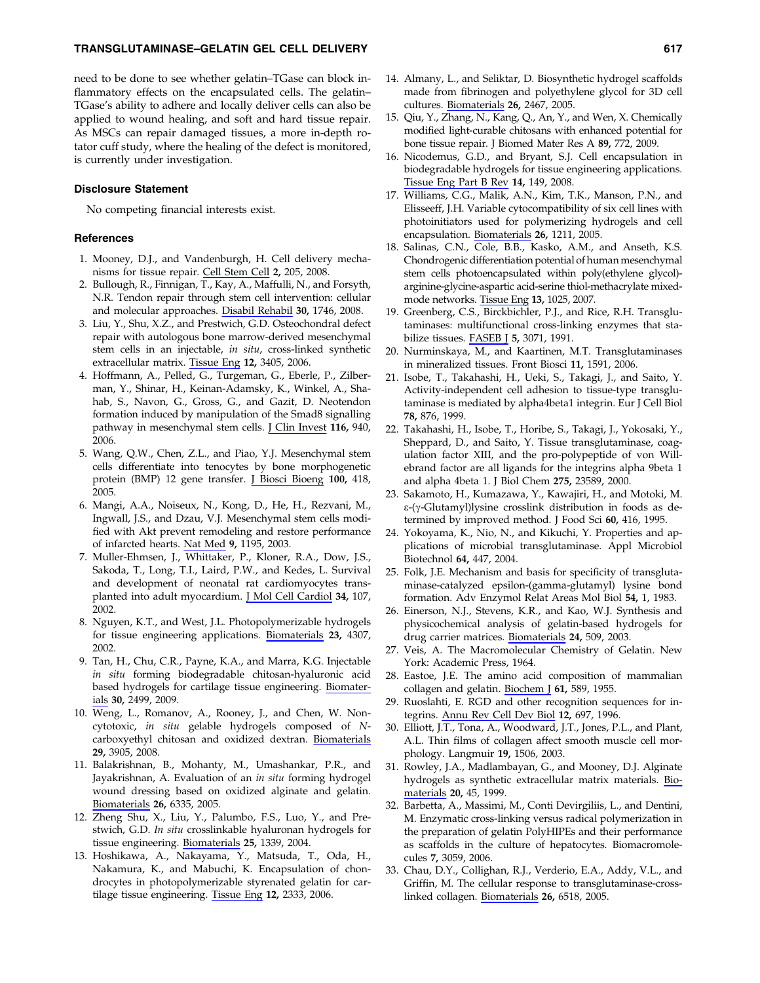### TRANSGLUTAMINASE–GELATIN GEL CELL DELIVERY 617

need to be done to see whether gelatin–TGase can block inflammatory effects on the encapsulated cells. The gelatin– TGase's ability to adhere and locally deliver cells can also be applied to wound healing, and soft and hard tissue repair. As MSCs can repair damaged tissues, a more in-depth rotator cuff study, where the healing of the defect is monitored, is currently under investigation.

## Disclosure Statement

No competing financial interests exist.

# **References**

- 1. Mooney, D.J., and Vandenburgh, H. Cell delivery mechanisms for tissue repair. [Cell Stem Cell](http://online.liebertpub.com/action/showLinks?pmid=18371446&crossref=10.1016%2Fj.stem.2008.02.005) 2, 205, 2008.
- 2. Bullough, R., Finnigan, T., Kay, A., Maffulli, N., and Forsyth, N.R. Tendon repair through stem cell intervention: cellular and molecular approaches. [Disabil Rehabil](http://online.liebertpub.com/action/showLinks?pmid=18720123&crossref=10.1080%2F09638280701788258) 30, 1746, 2008.
- 3. Liu, Y., Shu, X.Z., and Prestwich, G.D. Osteochondral defect repair with autologous bone marrow-derived mesenchymal stem cells in an injectable, in situ, cross-linked synthetic extracellular matrix. [Tissue Eng](http://online.liebertpub.com/action/showLinks?system=10.1089%2Ften.2006.12.3405&pmid=17518677) 12, 3405, 2006.
- 4. Hoffmann, A., Pelled, G., Turgeman, G., Eberle, P., Zilberman, Y., Shinar, H., Keinan-Adamsky, K., Winkel, A., Shahab, S., Navon, G., Gross, G., and Gazit, D. Neotendon formation induced by manipulation of the Smad8 signalling pathway in mesenchymal stem cells. [J Clin Invest](http://online.liebertpub.com/action/showLinks?pmid=16585960&crossref=10.1172%2FJCI22689) 116, 940, 2006.
- 5. Wang, Q.W., Chen, Z.L., and Piao, Y.J. Mesenchymal stem cells differentiate into tenocytes by bone morphogenetic protein (BMP) 12 gene transfer. [J Biosci Bioeng](http://online.liebertpub.com/action/showLinks?pmid=16310731&crossref=10.1263%2Fjbb.100.418) 100, 418, 2005.
- 6. Mangi, A.A., Noiseux, N., Kong, D., He, H., Rezvani, M., Ingwall, J.S., and Dzau, V.J. Mesenchymal stem cells modified with Akt prevent remodeling and restore performance of infarcted hearts. [Nat Med](http://online.liebertpub.com/action/showLinks?pmid=12910262&crossref=10.1038%2Fnm912) 9, 1195, 2003.
- 7. Muller-Ehmsen, J., Whittaker, P., Kloner, R.A., Dow, J.S., Sakoda, T., Long, T.I., Laird, P.W., and Kedes, L. Survival and development of neonatal rat cardiomyocytes transplanted into adult myocardium. [J Mol Cell Cardiol](http://online.liebertpub.com/action/showLinks?pmid=11851351&crossref=10.1006%2Fjmcc.2001.1491) 34, 107, 2002.
- 8. Nguyen, K.T., and West, J.L. Photopolymerizable hydrogels for tissue engineering applications. [Biomaterials](http://online.liebertpub.com/action/showLinks?pmid=12219820&crossref=10.1016%2FS0142-9612%2802%2900175-8) 23, 4307, 2002.
- 9. Tan, H., Chu, C.R., Payne, K.A., and Marra, K.G. Injectable in situ forming biodegradable chitosan-hyaluronic acid based hydrogels for cartilage tissue engineering. [Biomater](http://online.liebertpub.com/action/showLinks?pmid=19167750&crossref=10.1016%2Fj.biomaterials.2008.12.080)[ials](http://online.liebertpub.com/action/showLinks?pmid=19167750&crossref=10.1016%2Fj.biomaterials.2008.12.080) 30, 2499, 2009.
- 10. Weng, L., Romanov, A., Rooney, J., and Chen, W. Noncytotoxic, in situ gelable hydrogels composed of Ncarboxyethyl chitosan and oxidized dextran. [Biomaterials](http://online.liebertpub.com/action/showLinks?pmid=18639926&crossref=10.1016%2Fj.biomaterials.2008.06.025) 29, 3905, 2008.
- 11. Balakrishnan, B., Mohanty, M., Umashankar, P.R., and Jayakrishnan, A. Evaluation of an *in situ* forming hydrogel wound dressing based on oxidized alginate and gelatin. [Biomaterials](http://online.liebertpub.com/action/showLinks?pmid=15919113&crossref=10.1016%2Fj.biomaterials.2005.04.012) 26, 6335, 2005.
- 12. Zheng Shu, X., Liu, Y., Palumbo, F.S., Luo, Y., and Prestwich, G.D. In situ crosslinkable hyaluronan hydrogels for tissue engineering. [Biomaterials](http://online.liebertpub.com/action/showLinks?crossref=10.1016%2Fj.biomaterials.2003.08.014) 25, 1339, 2004.
- 13. Hoshikawa, A., Nakayama, Y., Matsuda, T., Oda, H., Nakamura, K., and Mabuchi, K. Encapsulation of chondrocytes in photopolymerizable styrenated gelatin for cartilage tissue engineering. [Tissue Eng](http://online.liebertpub.com/action/showLinks?system=10.1089%2Ften.2006.12.2333&pmid=16968173) 12, 2333, 2006.
- 14. Almany, L., and Seliktar, D. Biosynthetic hydrogel scaffolds made from fibrinogen and polyethylene glycol for 3D cell cultures. [Biomaterials](http://online.liebertpub.com/action/showLinks?pmid=15585249&crossref=10.1016%2Fj.biomaterials.2004.06.047) 26, 2467, 2005.
- 15. Qiu, Y., Zhang, N., Kang, Q., An, Y., and Wen, X. Chemically modified light-curable chitosans with enhanced potential for bone tissue repair. J Biomed Mater Res A 89, 772, 2009.
- 16. Nicodemus, G.D., and Bryant, S.J. Cell encapsulation in biodegradable hydrogels for tissue engineering applications. [Tissue Eng Part B Rev](http://online.liebertpub.com/action/showLinks?system=10.1089%2Ften.teb.2007.0332&pmid=18498217) 14, 149, 2008.
- 17. Williams, C.G., Malik, A.N., Kim, T.K., Manson, P.N., and Elisseeff, J.H. Variable cytocompatibility of six cell lines with photoinitiators used for polymerizing hydrogels and cell encapsulation. [Biomaterials](http://online.liebertpub.com/action/showLinks?pmid=15475050&crossref=10.1016%2Fj.biomaterials.2004.04.024) 26, 1211, 2005.
- 18. Salinas, C.N., Cole, B.B., Kasko, A.M., and Anseth, K.S. Chondrogenic differentiation potential of human mesenchymal stem cells photoencapsulated within poly(ethylene glycol) arginine-glycine-aspartic acid-serine thiol-methacrylate mixedmode networks. [Tissue Eng](http://online.liebertpub.com/action/showLinks?system=10.1089%2Ften.2006.0126&pmid=17417949) 13, 1025, 2007.
- 19. Greenberg, C.S., Birckbichler, P.J., and Rice, R.H. Transglutaminases: multifunctional cross-linking enzymes that stabilize tissues. [FASEB J](http://online.liebertpub.com/action/showLinks?pmid=1683845) 5, 3071, 1991.
- 20. Nurminskaya, M., and Kaartinen, M.T. Transglutaminases in mineralized tissues. Front Biosci 11, 1591, 2006.
- 21. Isobe, T., Takahashi, H., Ueki, S., Takagi, J., and Saito, Y. Activity-independent cell adhesion to tissue-type transglutaminase is mediated by alpha4beta1 integrin. Eur J Cell Biol 78, 876, 1999.
- 22. Takahashi, H., Isobe, T., Horibe, S., Takagi, J., Yokosaki, Y., Sheppard, D., and Saito, Y. Tissue transglutaminase, coagulation factor XIII, and the pro-polypeptide of von Willebrand factor are all ligands for the integrins alpha 9beta 1 and alpha 4beta 1. J Biol Chem 275, 23589, 2000.
- 23. Sakamoto, H., Kumazawa, Y., Kawajiri, H., and Motoki, M.  $\varepsilon$ -( $\gamma$ -Glutamyl)lysine crosslink distribution in foods as determined by improved method. J Food Sci 60, 416, 1995.
- 24. Yokoyama, K., Nio, N., and Kikuchi, Y. Properties and applications of microbial transglutaminase. Appl Microbiol Biotechnol 64, 447, 2004.
- 25. Folk, J.E. Mechanism and basis for specificity of transglutaminase-catalyzed epsilon-(gamma-glutamyl) lysine bond formation. Adv Enzymol Relat Areas Mol Biol 54, 1, 1983.
- 26. Einerson, N.J., Stevens, K.R., and Kao, W.J. Synthesis and physicochemical analysis of gelatin-based hydrogels for drug carrier matrices. [Biomaterials](http://online.liebertpub.com/action/showLinks?pmid=12423606&crossref=10.1016%2FS0142-9612%2802%2900369-1) 24, 509, 2003.
- 27. Veis, A. The Macromolecular Chemistry of Gelatin. New York: Academic Press, 1964.
- 28. Eastoe, J.E. The amino acid composition of mammalian collagen and gelatin. [Biochem J](http://online.liebertpub.com/action/showLinks?pmid=13276342) 61, 589, 1955.
- 29. Ruoslahti, E. RGD and other recognition sequences for integrins. [Annu Rev Cell Dev Biol](http://online.liebertpub.com/action/showLinks?pmid=8970741&crossref=10.1146%2Fannurev.cellbio.12.1.697) 12, 697, 1996.
- 30. Elliott, J.T., Tona, A., Woodward, J.T., Jones, P.L., and Plant, A.L. Thin films of collagen affect smooth muscle cell morphology. Langmuir 19, 1506, 2003.
- 31. Rowley, J.A., Madlambayan, G., and Mooney, D.J. Alginate hydrogels as synthetic extracellular matrix materials. [Bio](http://online.liebertpub.com/action/showLinks?pmid=9916770&crossref=10.1016%2FS0142-9612%2898%2900107-0)[materials](http://online.liebertpub.com/action/showLinks?pmid=9916770&crossref=10.1016%2FS0142-9612%2898%2900107-0) 20, 45, 1999.
- 32. Barbetta, A., Massimi, M., Conti Devirgiliis, L., and Dentini, M. Enzymatic cross-linking versus radical polymerization in the preparation of gelatin PolyHIPEs and their performance as scaffolds in the culture of hepatocytes. Biomacromolecules 7, 3059, 2006.
- 33. Chau, D.Y., Collighan, R.J., Verderio, E.A., Addy, V.L., and Griffin, M. The cellular response to transglutaminase-crosslinked collagen. [Biomaterials](http://online.liebertpub.com/action/showLinks?pmid=15927250&crossref=10.1016%2Fj.biomaterials.2005.04.017) 26, 6518, 2005.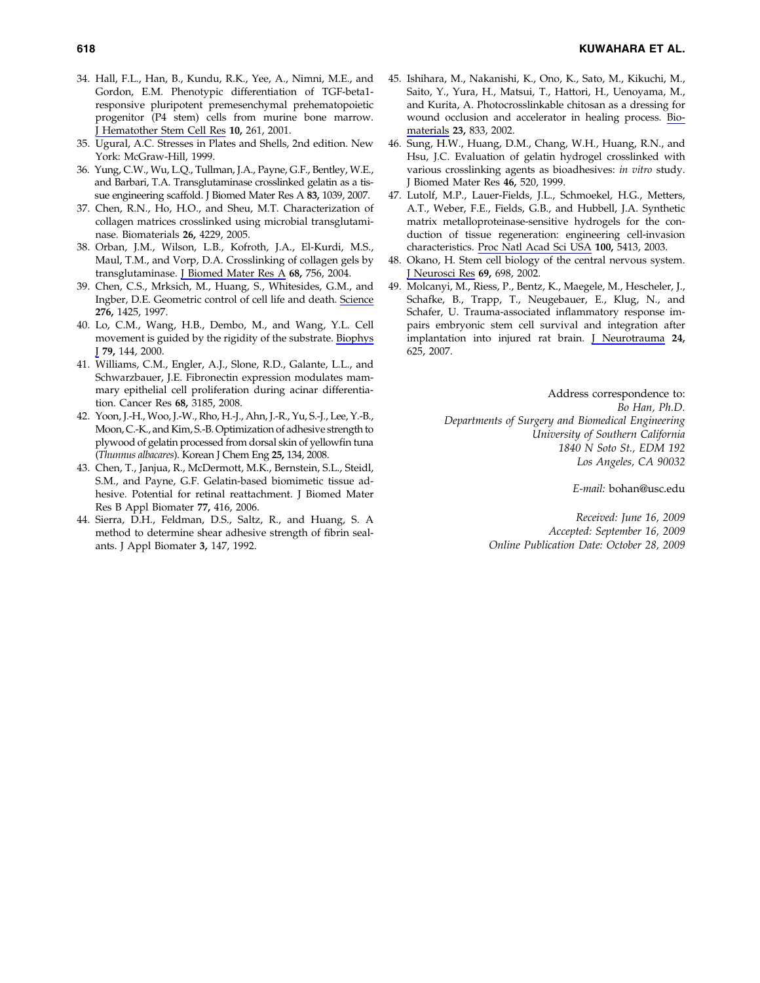- 34. Hall, F.L., Han, B., Kundu, R.K., Yee, A., Nimni, M.E., and Gordon, E.M. Phenotypic differentiation of TGF-beta1 responsive pluripotent premesenchymal prehematopoietic progenitor (P4 stem) cells from murine bone marrow. [J Hematother Stem Cell Res](http://online.liebertpub.com/action/showLinks?system=10.1089%2F15258160151134962&pmid=11359673) 10, 261, 2001.
- 35. Ugural, A.C. Stresses in Plates and Shells, 2nd edition. New York: McGraw-Hill, 1999.
- 36. Yung, C.W., Wu, L.Q., Tullman, J.A., Payne, G.F., Bentley, W.E., and Barbari, T.A. Transglutaminase crosslinked gelatin as a tissue engineering scaffold. J Biomed Mater Res A 83, 1039, 2007.
- 37. Chen, R.N., Ho, H.O., and Sheu, M.T. Characterization of collagen matrices crosslinked using microbial transglutaminase. Biomaterials 26, 4229, 2005.
- 38. Orban, J.M., Wilson, L.B., Kofroth, J.A., El-Kurdi, M.S., Maul, T.M., and Vorp, D.A. Crosslinking of collagen gels by transglutaminase. [J Biomed Mater Res A](http://online.liebertpub.com/action/showLinks?pmid=14986330&crossref=10.1002%2Fjbm.a.20110) 68, 756, 2004.
- 39. Chen, C.S., Mrksich, M., Huang, S., Whitesides, G.M., and Ingber, D.E. Geometric control of cell life and death. [Science](http://online.liebertpub.com/action/showLinks?pmid=9162012&crossref=10.1126%2Fscience.276.5317.1425) 276, 1425, 1997.
- 40. Lo, C.M., Wang, H.B., Dembo, M., and Wang, Y.L. Cell movement is guided by the rigidity of the substrate. [Biophys](http://online.liebertpub.com/action/showLinks?pmid=10866943&crossref=10.1016%2FS0006-3495%2800%2976279-5) [J](http://online.liebertpub.com/action/showLinks?pmid=10866943&crossref=10.1016%2FS0006-3495%2800%2976279-5) 79, 144, 2000.
- 41. Williams, C.M., Engler, A.J., Slone, R.D., Galante, L.L., and Schwarzbauer, J.E. Fibronectin expression modulates mammary epithelial cell proliferation during acinar differentiation. Cancer Res 68, 3185, 2008.
- 42. Yoon, J.-H., Woo, J.-W., Rho, H.-J., Ahn, J.-R., Yu, S.-J., Lee, Y.-B., Moon, C.-K., and Kim, S.-B. Optimization of adhesive strength to plywood of gelatin processed from dorsal skin of yellowfin tuna (Thunnus albacares). Korean J Chem Eng 25, 134, 2008.
- 43. Chen, T., Janjua, R., McDermott, M.K., Bernstein, S.L., Steidl, S.M., and Payne, G.F. Gelatin-based biomimetic tissue adhesive. Potential for retinal reattachment. J Biomed Mater Res B Appl Biomater 77, 416, 2006.
- 44. Sierra, D.H., Feldman, D.S., Saltz, R., and Huang, S. A method to determine shear adhesive strength of fibrin sealants. J Appl Biomater 3, 147, 1992.
- 45. Ishihara, M., Nakanishi, K., Ono, K., Sato, M., Kikuchi, M., Saito, Y., Yura, H., Matsui, T., Hattori, H., Uenoyama, M., and Kurita, A. Photocrosslinkable chitosan as a dressing for wound occlusion and accelerator in healing process. [Bio](http://online.liebertpub.com/action/showLinks?pmid=11771703&crossref=10.1016%2FS0142-9612%2801%2900189-2)[materials](http://online.liebertpub.com/action/showLinks?pmid=11771703&crossref=10.1016%2FS0142-9612%2801%2900189-2) 23, 833, 2002.
- 46. Sung, H.W., Huang, D.M., Chang, W.H., Huang, R.N., and Hsu, J.C. Evaluation of gelatin hydrogel crosslinked with various crosslinking agents as bioadhesives: in vitro study. J Biomed Mater Res 46, 520, 1999.
- 47. Lutolf, M.P., Lauer-Fields, J.L., Schmoekel, H.G., Metters, A.T., Weber, F.E., Fields, G.B., and Hubbell, J.A. Synthetic matrix metalloproteinase-sensitive hydrogels for the conduction of tissue regeneration: engineering cell-invasion characteristics. [Proc Natl Acad Sci USA](http://online.liebertpub.com/action/showLinks?pmid=12686696&crossref=10.1073%2Fpnas.0737381100) 100, 5413, 2003.
- 48. Okano, H. Stem cell biology of the central nervous system. [J Neurosci Res](http://online.liebertpub.com/action/showLinks?pmid=12205662&crossref=10.1002%2Fjnr.10343) 69, 698, 2002.
- 49. Molcanyi, M., Riess, P., Bentz, K., Maegele, M., Hescheler, J., Schafke, B., Trapp, T., Neugebauer, E., Klug, N., and Schafer, U. Trauma-associated inflammatory response impairs embryonic stem cell survival and integration after implantation into injured rat brain. [J Neurotrauma](http://online.liebertpub.com/action/showLinks?system=10.1089%2Fneu.2006.0180&pmid=17439346) 24, 625, 2007.

Address correspondence to: Bo Han, Ph.D. Departments of Surgery and Biomedical Engineering University of Southern California 1840 N Soto St., EDM 192 Los Angeles, CA 90032

E-mail: bohan@usc.edu

Received: June 16, 2009 Accepted: September 16, 2009 Online Publication Date: October 28, 2009